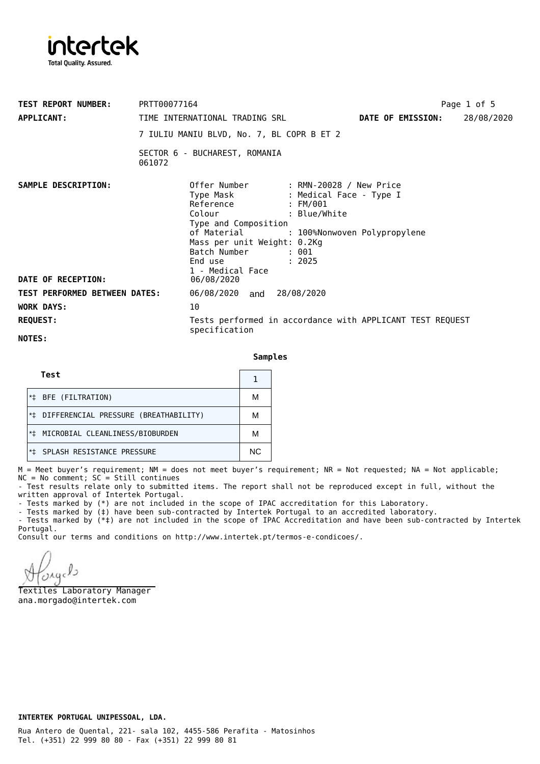

| <b>TEST REPORT NUMBER:</b><br><b>APPLICANT:</b> | PRTT00077164<br>TIME INTERNATIONAL TRADING SRL<br><b>DATE OF EMISSION:</b><br>7 IULIU MANIU BLVD, No. 7, BL COPR B ET 2                                                                                                                                                                     | Page 1 of 5<br>28/08/2020 |  |
|-------------------------------------------------|---------------------------------------------------------------------------------------------------------------------------------------------------------------------------------------------------------------------------------------------------------------------------------------------|---------------------------|--|
|                                                 | SECTOR 6 - BUCHAREST, ROMANIA<br>061072                                                                                                                                                                                                                                                     |                           |  |
| SAMPLE DESCRIPTION:                             | Offer Number : RMN-20028 / New Price<br>Type Mask : Medical Face - Type I<br>Reference : FM/001<br>Colour : Blue/White<br>Type and Composition<br>of Material<br>: 100%Nonwoven Polypropylene<br>Mass per unit Weight: 0.2Kg<br>Batch Number<br>: 001<br>End use : 2025<br>1 - Medical Face |                           |  |
| DATE OF RECEPTION:                              | 06/08/2020                                                                                                                                                                                                                                                                                  |                           |  |
| <b>TEST PERFORMED BETWEEN DATES:</b>            | 06/08/2020 and 28/08/2020                                                                                                                                                                                                                                                                   |                           |  |
| <b>WORK DAYS:</b>                               | 10                                                                                                                                                                                                                                                                                          |                           |  |
| <b>REQUEST:</b>                                 | Tests performed in accordance with APPLICANT TEST REQUEST<br>specification                                                                                                                                                                                                                  |                           |  |
| NOTES:                                          |                                                                                                                                                                                                                                                                                             |                           |  |

**Samples**

| Test                                     |     |
|------------------------------------------|-----|
| BFE (FILTRATION)                         | М   |
| *# DIFFERENCIAL PRESSURE (BREATHABILITY) | М   |
| MICROBIAL CLEANLINESS/BIOBURDEN          |     |
| SPLASH RESISTANCE PRESSURE               | NC. |

M = Meet buyer's requirement; NM = does not meet buyer's requirement; NR = Not requested; NA = Not applicable;  $NC = No$  comment;  $SC = Still$  continues

- Test results relate only to submitted items. The report shall not be reproduced except in full, without the written approval of Intertek Portugal.

- Tests marked by (\*) are not included in the scope of IPAC accreditation for this Laboratory.

- Tests marked by (‡) have been sub-contracted by Intertek Portugal to an accredited laboratory.

- Tests marked by (\*‡) are not included in the scope of IPAC Accreditation and have been sub-contracted by Intertek Portugal.

Consult our terms and conditions on [http://www.intertek.pt/termos-e-condicoes/.](http://www.intertek.pt/termos-e-condicoes/)

Textiles Laboratory Manager ana.morgado@intertek.com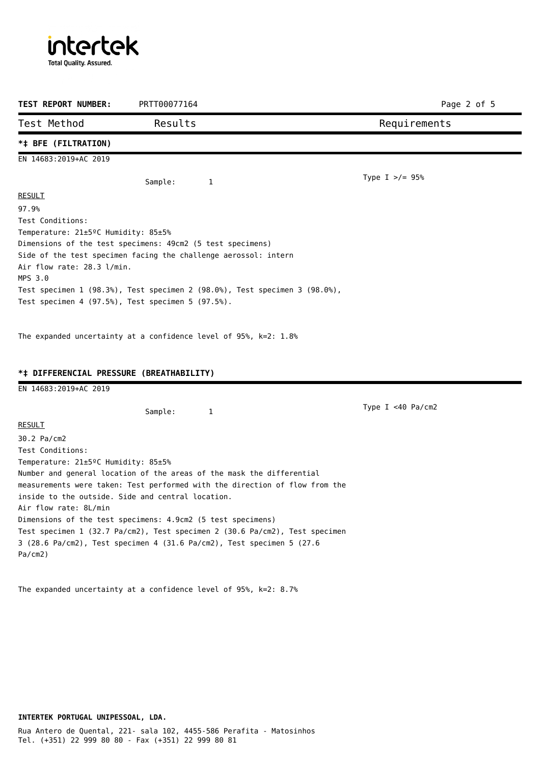intertek **Total Quality. Assured.** 

| TEST REPORT NUMBER:                              | PRTT00077164                                                                | Page 2 of 5          |
|--------------------------------------------------|-----------------------------------------------------------------------------|----------------------|
| Test Method                                      | Results                                                                     | Requirements         |
| *‡ BFE (FILTRATION)                              |                                                                             |                      |
| EN 14683:2019+AC 2019                            |                                                                             |                      |
|                                                  | Sample:<br>1                                                                | Type I $>/-$ 95%     |
| <b>RESULT</b>                                    |                                                                             |                      |
| 97.9%                                            |                                                                             |                      |
| Test Conditions:                                 |                                                                             |                      |
| Temperature: 21±5ºC Humidity: 85±5%              |                                                                             |                      |
|                                                  | Dimensions of the test specimens: 49cm2 (5 test specimens)                  |                      |
|                                                  | Side of the test specimen facing the challenge aerossol: intern             |                      |
| Air flow rate: 28.3 l/min.                       |                                                                             |                      |
| MPS 3.0                                          |                                                                             |                      |
|                                                  | Test specimen 1 (98.3%), Test specimen 2 (98.0%), Test specimen 3 (98.0%),  |                      |
|                                                  | Test specimen 4 (97.5%), Test specimen 5 (97.5%).                           |                      |
| EN 14683:2019+AC 2019                            | *# DIFFERENCIAL PRESSURE (BREATHABILITY)                                    |                      |
|                                                  |                                                                             |                      |
|                                                  | Sample:<br>1                                                                | Type $I < 40$ Pa/cm2 |
| <b>RESULT</b>                                    |                                                                             |                      |
| 30.2 Pa/cm2                                      |                                                                             |                      |
| Test Conditions:                                 |                                                                             |                      |
| Temperature: 21±5 <sup>o</sup> C Humidity: 85±5% |                                                                             |                      |
|                                                  | Number and general location of the areas of the mask the differential       |                      |
|                                                  | measurements were taken: Test performed with the direction of flow from the |                      |
|                                                  | inside to the outside. Side and central location.                           |                      |
| Air flow rate: 8L/min                            |                                                                             |                      |
|                                                  | Dimensions of the test specimens: 4.9cm2 (5 test specimens)                 |                      |
|                                                  | Test specimen 1 (32.7 Pa/cm2), Test specimen 2 (30.6 Pa/cm2), Test specimen |                      |
|                                                  | 3 (28.6 Pa/cm2), Test specimen 4 (31.6 Pa/cm2), Test specimen 5 (27.6       |                      |
| Pa/cm2)                                          |                                                                             |                      |
|                                                  |                                                                             |                      |

The expanded uncertainty at a confidence level of 95%, k=2: 8.7%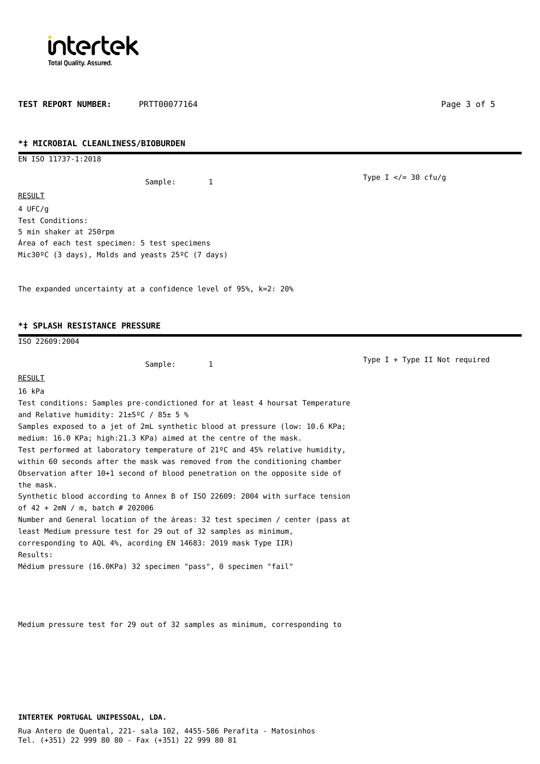

TEST REPORT NUMBER: PRTT00077164 **Page 3 of 5** Page 3 of 5

## **\*‡ MICROBIAL CLEANLINESS/BIOBURDEN**

EN ISO 11737-1:2018

Sample: 1

RESULT 4 UFC/g Test Conditions: 5 min shaker at 250rpm Área of each test specimen: 5 test specimens Mic30ºC (3 days), Molds and yeasts 25ºC (7 days)

The expanded uncertainty at a confidence level of 95%, k=2: 20%

## **\*‡ SPLASH RESISTANCE PRESSURE**

ISO 22609:2004 Sample: 1 **RESULT** 16 kPa Test conditions: Samples pre-condictioned for at least 4 hoursat Temperature and Relative humidity: 21±5ºC / 85± 5 % Samples exposed to a jet of 2mL synthetic blood at pressure (low: 10.6 KPa; medium: 16.0 KPa; high:21.3 KPa) aimed at the centre of the mask. Test performed at laboratory temperature of 21ºC and 45% relative humidity, within 60 seconds after the mask was removed from the conditioning chamber Observation after 10+1 second of blood penetration on the opposite side of the mask. Synthetic blood according to Annex B of ISO 22609: 2004 with surface tension of 42 + 2mN / m, batch # 202006 Number and General location of the áreas: 32 test specimen / center (pass at least Medium pressure test for 29 out of 32 samples as minimum, corresponding to AQL 4%, acording EN 14683: 2019 mask Type IIR) Results: Médium pressure (16.0KPa) 32 specimen "pass", 0 specimen "fail" Type I + Type II Not required

Medium pressure test for 29 out of 32 samples as minimum, corresponding to

**INTERTEK PORTUGAL UNIPESSOAL, LDA.**

Type I  $\lt$ /= 30 cfu/g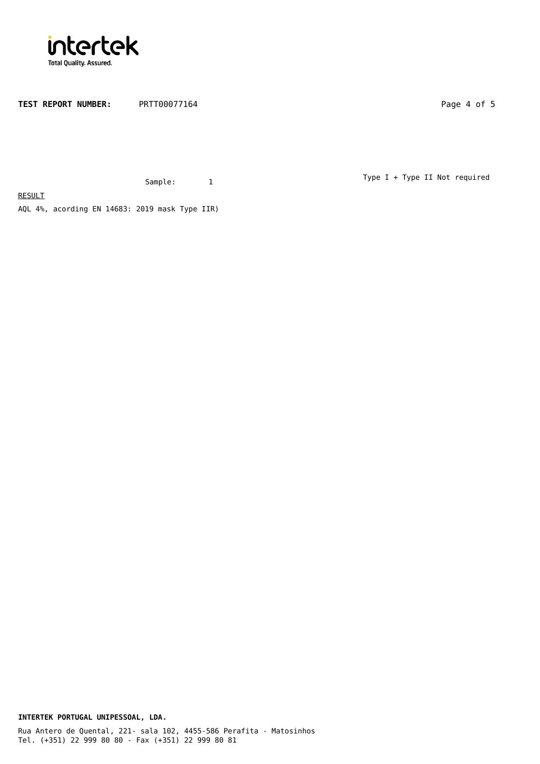

TEST REPORT NUMBER: PRTT00077164 Page 4 of 5

Sample: 1

Type I + Type II Not required

AQL 4%, acording EN 14683: 2019 mask Type IIR)

**RESULT** 

**INTERTEK PORTUGAL UNIPESSOAL, LDA.**